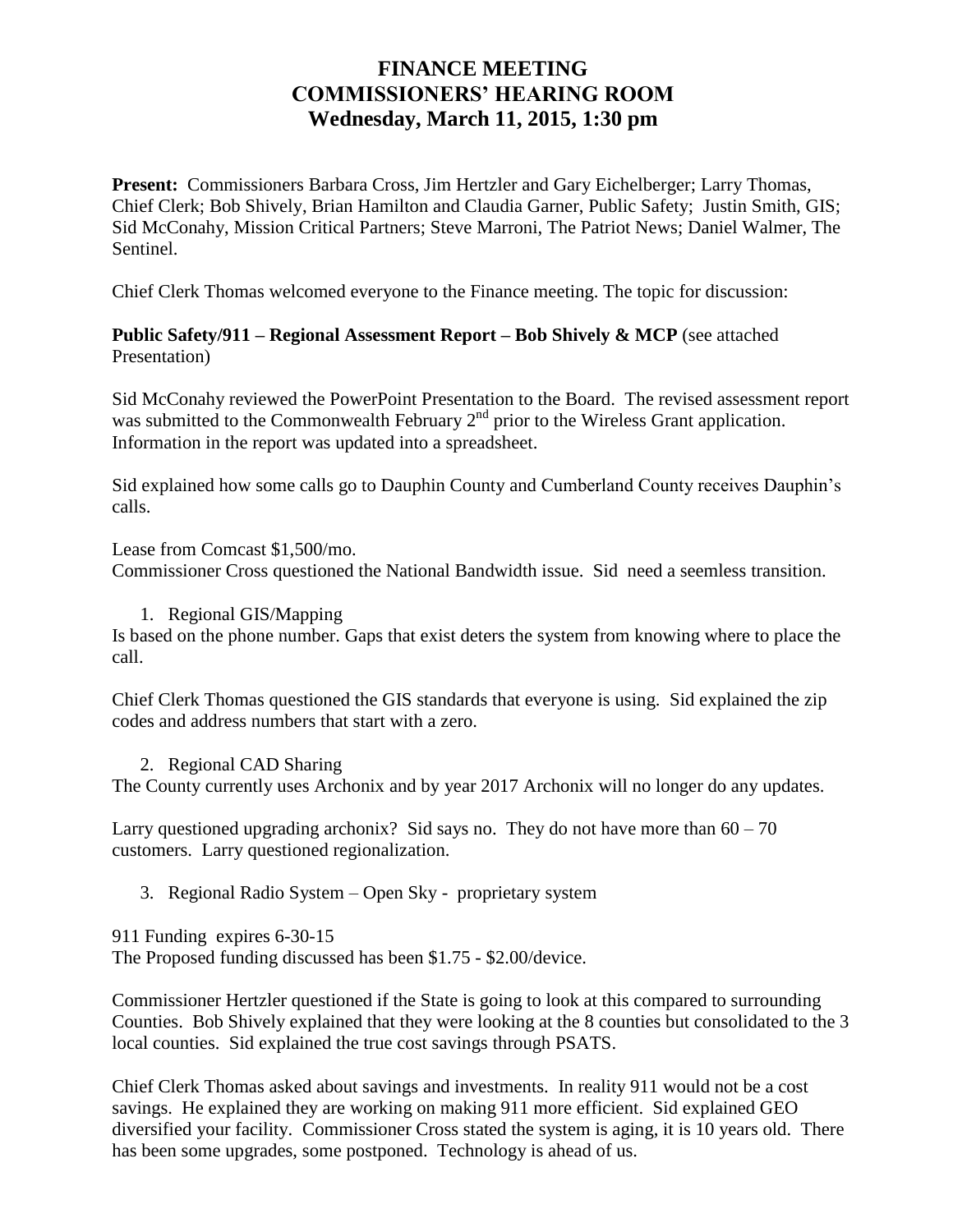## **FINANCE MEETING COMMISSIONERS' HEARING ROOM Wednesday, March 11, 2015, 1:30 pm**

**Present:** Commissioners Barbara Cross, Jim Hertzler and Gary Eichelberger; Larry Thomas, Chief Clerk; Bob Shively, Brian Hamilton and Claudia Garner, Public Safety; Justin Smith, GIS; Sid McConahy, Mission Critical Partners; Steve Marroni, The Patriot News; Daniel Walmer, The Sentinel.

Chief Clerk Thomas welcomed everyone to the Finance meeting. The topic for discussion:

## **Public Safety/911 – Regional Assessment Report – Bob Shively & MCP** (see attached Presentation)

Sid McConahy reviewed the PowerPoint Presentation to the Board. The revised assessment report was submitted to the Commonwealth February  $2<sup>nd</sup>$  prior to the Wireless Grant application. Information in the report was updated into a spreadsheet.

Sid explained how some calls go to Dauphin County and Cumberland County receives Dauphin's calls.

Lease from Comcast \$1,500/mo. Commissioner Cross questioned the National Bandwidth issue. Sid need a seemless transition.

## 1. Regional GIS/Mapping

Is based on the phone number. Gaps that exist deters the system from knowing where to place the call.

Chief Clerk Thomas questioned the GIS standards that everyone is using. Sid explained the zip codes and address numbers that start with a zero.

## 2. Regional CAD Sharing

The County currently uses Archonix and by year 2017 Archonix will no longer do any updates.

Larry questioned upgrading archonix? Sid says no. They do not have more than  $60 - 70$ customers. Larry questioned regionalization.

3. Regional Radio System – Open Sky - proprietary system

911 Funding expires 6-30-15

The Proposed funding discussed has been \$1.75 - \$2.00/device.

Commissioner Hertzler questioned if the State is going to look at this compared to surrounding Counties. Bob Shively explained that they were looking at the 8 counties but consolidated to the 3 local counties. Sid explained the true cost savings through PSATS.

Chief Clerk Thomas asked about savings and investments. In reality 911 would not be a cost savings. He explained they are working on making 911 more efficient. Sid explained GEO diversified your facility. Commissioner Cross stated the system is aging, it is 10 years old. There has been some upgrades, some postponed. Technology is ahead of us.